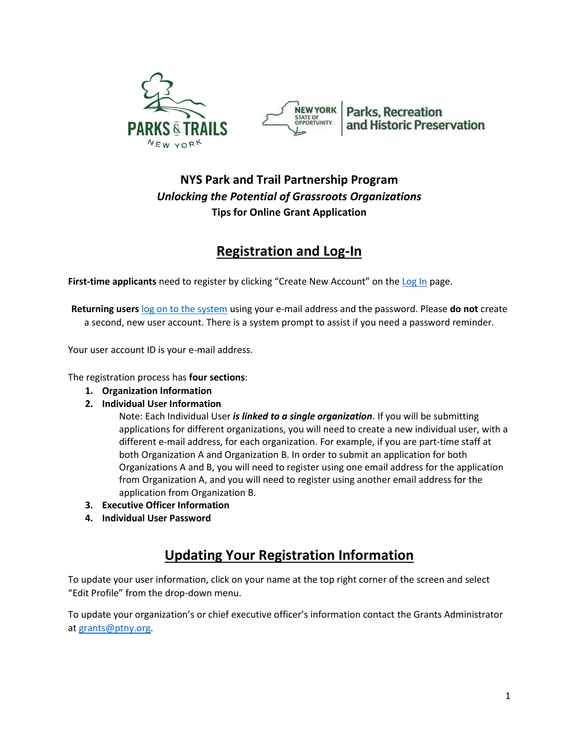



#### **NYS Park and Trail Partnership Program** *Unlocking the Potential of Grassroots Organizations* **Tips for Online Grant Application**

## **Registration and Log-In**

**First-time applicants** need to register by clicking "Create New Account" on the [Log In](https://www.grantinterface.com/Common/LogOn.aspx?eqs=ULUxrLEqb2xGwBJ6wBFCFw2) page.

**Returning users** [log on to the system](https://www.grantinterface.com/Common/LogOn.aspx?eqs=ULUxrLEqb2xGwBJ6wBFCFw2) using your e-mail address and the password. Please **do not** create a second, new user account. There is a system prompt to assist if you need a password reminder.

Your user account ID is your e-mail address.

The registration process has **four sections**:

- **1. Organization Information**
- **2. Individual User Information**

Note: Each Individual User *is linked to a single organization*. If you will be submitting applications for different organizations, you will need to create a new individual user, with a different e-mail address, for each organization. For example, if you are part-time staff at both Organization A and Organization B. In order to submit an application for both Organizations A and B, you will need to register using one email address for the application from Organization A, and you will need to register using another email address for the application from Organization B.

- **3. Executive Officer Information**
- **4. Individual User Password**

### **Updating Your Registration Information**

To update your user information, click on your name at the top right corner of the screen and select "Edit Profile" from the drop-down menu.

To update your organization's or chief executive officer's information contact the Grants Administrator a[t grants@ptny.org.](mailto:grants@ptny.org)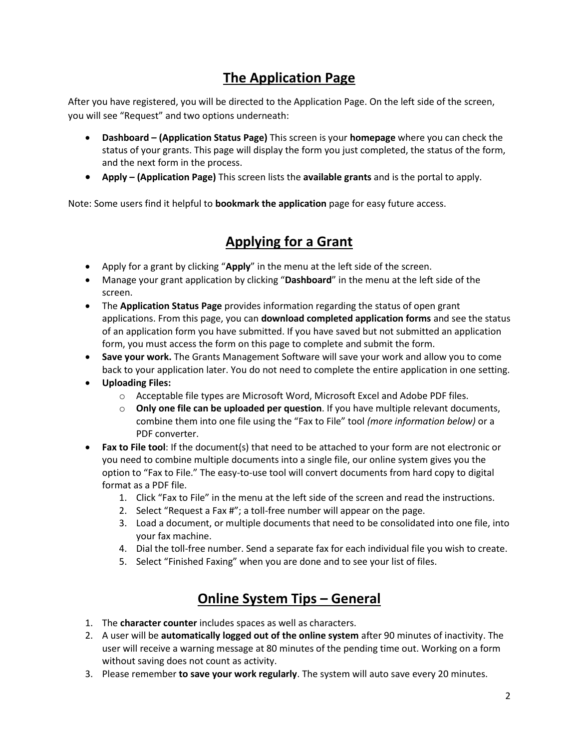# **The Application Page**

After you have registered, you will be directed to the Application Page. On the left side of the screen, you will see "Request" and two options underneath:

- **Dashboard – (Application Status Page)** This screen is your **homepage** where you can check the status of your grants. This page will display the form you just completed, the status of the form, and the next form in the process.
- **Apply – (Application Page)** This screen lists the **available grants** and is the portal to apply.

Note: Some users find it helpful to **bookmark the application** page for easy future access.

### **Applying for a Grant**

- Apply for a grant by clicking "**Apply**" in the menu at the left side of the screen.
- Manage your grant application by clicking "**Dashboard**" in the menu at the left side of the screen.
- The **Application Status Page** provides information regarding the status of open grant applications. From this page, you can **download completed application forms** and see the status of an application form you have submitted. If you have saved but not submitted an application form, you must access the form on this page to complete and submit the form.
- **Save your work.** The Grants Management Software will save your work and allow you to come back to your application later. You do not need to complete the entire application in one setting.
- **Uploading Files:** 
	- o Acceptable file types are Microsoft Word, Microsoft Excel and Adobe PDF files.
	- o **Only one file can be uploaded per question**. If you have multiple relevant documents, combine them into one file using the "Fax to File" tool *(more information below)* or a PDF converter.
- **Fax to File tool**: If the document(s) that need to be attached to your form are not electronic or you need to combine multiple documents into a single file, our online system gives you the option to "Fax to File." The easy-to-use tool will convert documents from hard copy to digital format as a PDF file.
	- 1. Click "Fax to File" in the menu at the left side of the screen and read the instructions.
	- 2. Select "Request a Fax #"; a toll-free number will appear on the page.
	- 3. Load a document, or multiple documents that need to be consolidated into one file, into your fax machine.
	- 4. Dial the toll-free number. Send a separate fax for each individual file you wish to create.
	- 5. Select "Finished Faxing" when you are done and to see your list of files.

### **Online System Tips – General**

- 1. The **character counter** includes spaces as well as characters.
- 2. A user will be **automatically logged out of the online system** after 90 minutes of inactivity. The user will receive a warning message at 80 minutes of the pending time out. Working on a form without saving does not count as activity.
- 3. Please remember **to save your work regularly**. The system will auto save every 20 minutes.